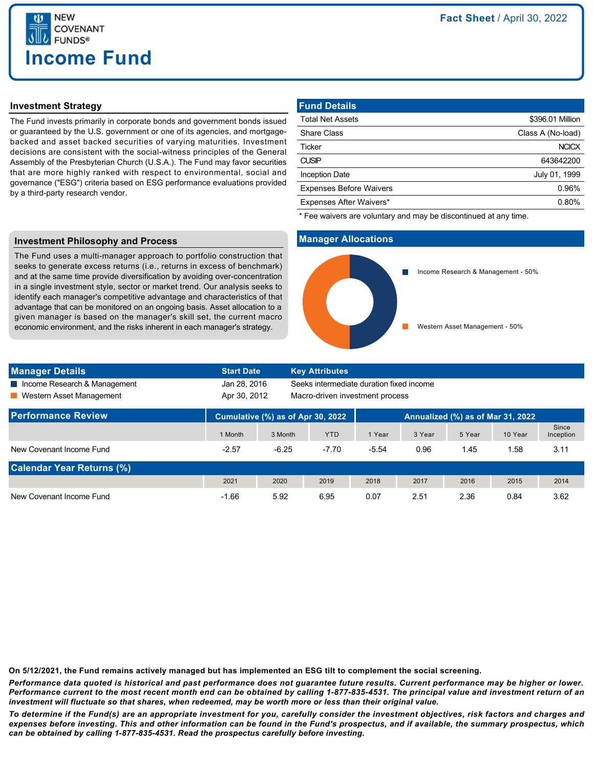

## **Investment Strategy**

The Fund invests primarily in corporate bonds and government bonds issued or guaranteed by the U.S. government or one of its agencies, and mortgagebacked and asset backed securities of varying maturities. Investment decisions are consistent with the social-witness principles of the General Assembly of the Presbyterian Church (U.S.A.). The Fund may favor securities that are more highly ranked with respect to environmental, social and governance ("ESG") criteria based on ESG performance evaluations provided by a third-party research vendor.

| <b>Fund Details</b>            |                   |
|--------------------------------|-------------------|
| <b>Total Net Assets</b>        | \$396.01 Million  |
| <b>Share Class</b>             | Class A (No-load) |
| Ticker                         | <b>NCICX</b>      |
| <b>CUSIP</b>                   | 643642200         |
| <b>Inception Date</b>          | July 01, 1999     |
| <b>Expenses Before Waivers</b> | 0.96%             |
| Expenses After Waivers*        | 0.80%             |

\* Fee waivers are voluntary and may be discontinued at any time.

### **Investment Philosophy and Process**

The Fund uses a multi-manager approach to portfolio construction that seeks to generate excess returns (i.e., returns in excess of benchmark) and at the same time provide diversification by avoiding over-concentration in a single investment style, sector or market trend. Our analysis seeks to identify each manager's competitive advantage and characteristics of that advantage that can be monitored on an ongoing basis. Asset allocation to a given manager is based on the manager's skill set, the current macro economic environment, and the risks inherent in each manager's strategy.

## **Manager Allocations**



| <b>Manager Details</b>           | <b>Start Date</b>                 |         | <b>Key Attributes</b>                    |         |        |        |         |                    |
|----------------------------------|-----------------------------------|---------|------------------------------------------|---------|--------|--------|---------|--------------------|
| Income Research & Management     | Jan 28, 2016                      |         | Seeks intermediate duration fixed income |         |        |        |         |                    |
| ■ Western Asset Management       | Apr 30, 2012                      |         | Macro-driven investment process          |         |        |        |         |                    |
| <b>Performance Review</b>        | Cumulative (%) as of Apr 30, 2022 |         | Annualized (%) as of Mar 31, 2022        |         |        |        |         |                    |
|                                  | 1 Month                           | 3 Month | <b>YTD</b>                               | 1 Year  | 3 Year | 5 Year | 10 Year | Since<br>Inception |
| New Covenant Income Fund         | $-2.57$                           | $-6.25$ | $-7.70$                                  | $-5.54$ | 0.96   | 1.45   | 1.58    | 3.11               |
| <b>Calendar Year Returns (%)</b> |                                   |         |                                          |         |        |        |         |                    |
|                                  | 2021                              | 2020    | 2019                                     | 2018    | 2017   | 2016   | 2015    | 2014               |
| New Covenant Income Fund         | $-1.66$                           | 5.92    | 6.95                                     | 0.07    | 2.51   | 2.36   | 0.84    | 3.62               |

**On 5/12/2021, the Fund remains actively managed but has implemented an ESG tilt to complement the social screening.**

*Performance data quoted is historical and past performance does not guarantee future results. Current performance may be higher or lower. Performance current to the most recent month end can be obtained by calling 1-877-835-4531. The principal value and investment return of an investment will fluctuate so that shares, when redeemed, may be worth more or less than their original value.*

*To determine if the Fund(s) are an appropriate investment for you, carefully consider the investment objectives, risk factors and charges and expenses before investing. This and other information can be found in the Fund's prospectus, and if available, the summary prospectus, which can be obtained by calling 1-877-835-4531. Read the prospectus carefully before investing.*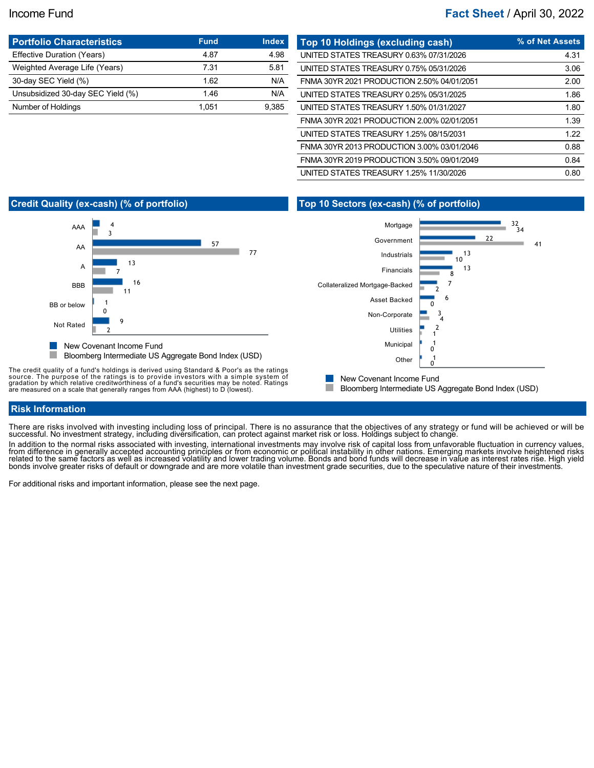# Income Fund **Fact Sheet** / April 30, 2022

| <b>Portfolio Characteristics</b>  | <b>Fund</b> | <b>Index</b> |
|-----------------------------------|-------------|--------------|
| Effective Duration (Years)        | 4.87        | 4.98         |
| Weighted Average Life (Years)     | 7.31        | 5.81         |
| 30-day SEC Yield (%)              | 1.62        | N/A          |
| Unsubsidized 30-day SEC Yield (%) | 1.46        | N/A          |
| Number of Holdings                | 1.051       | 9.385        |

| Top 10 Holdings (excluding cash)           | % of Net Assets |
|--------------------------------------------|-----------------|
| UNITED STATES TREASURY 0.63% 07/31/2026    | 4.31            |
| UNITED STATES TREASURY 0.75% 05/31/2026    | 3.06            |
| FNMA 30YR 2021 PRODUCTION 2.50% 04/01/2051 | 2.00            |
| UNITED STATES TREASURY 0.25% 05/31/2025    | 1.86            |
| UNITED STATES TREASURY 1.50% 01/31/2027    | 1.80            |
| FNMA 30YR 2021 PRODUCTION 2.00% 02/01/2051 | 1.39            |
| UNITED STATES TREASURY 1.25% 08/15/2031    | 1.22            |
| FNMA 30YR 2013 PRODUCTION 3.00% 03/01/2046 | 0.88            |
| FNMA 30YR 2019 PRODUCTION 3.50% 09/01/2049 | 0.84            |
| UNITED STATES TREASURY 1.25% 11/30/2026    | 0.80            |

# **Credit Quality (ex-cash) (% of portfolio)**



The credit quality of a fund's holdings is derived using Standard & Poor's as the ratings<br>source. The purpose of the ratings is to provide investors with a simple system of<br>gradation by which relative creditworthiness of a

# **Top 10 Sectors (ex-cash) (% of portfolio)**



New Covenant Income Fund

H. Bloomberg Intermediate US Aggregate Bond Index (USD)

## **Risk Information**

There are risks involved with investing including loss of principal. There is no assurance that the objectives of any strategy or fund will be achieved or will be successful. No investment strategy, including diversification, can protect against market risk or loss. Holdings subject to change

In addition to the normal risks associated with investing, international investments may involve risk of capital loss from unfavorable fluctuation in currency values, from difference in generally accepted accounting principles or from economic or political instability in other nations. Emerging markets involve heightened risks<br>related to the same factors as well as increased volatility

For additional risks and important information, please see the next page.